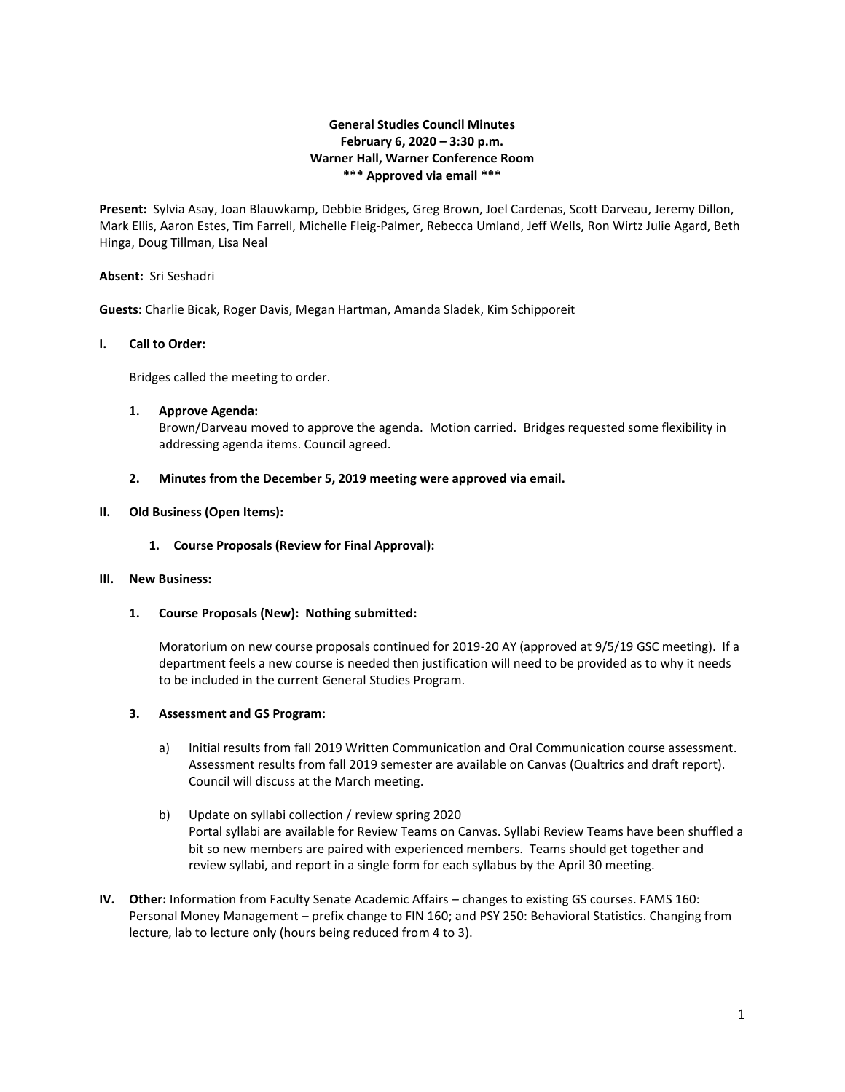# **General Studies Council Minutes February 6, 2020 – 3:30 p.m. Warner Hall, Warner Conference Room \*\*\* Approved via email \*\*\***

**Present:** Sylvia Asay, Joan Blauwkamp, Debbie Bridges, Greg Brown, Joel Cardenas, Scott Darveau, Jeremy Dillon, Mark Ellis, Aaron Estes, Tim Farrell, Michelle Fleig-Palmer, Rebecca Umland, Jeff Wells, Ron Wirtz Julie Agard, Beth Hinga, Doug Tillman, Lisa Neal

## **Absent:** Sri Seshadri

**Guests:** Charlie Bicak, Roger Davis, Megan Hartman, Amanda Sladek, Kim Schipporeit

## **I. Call to Order:**

Bridges called the meeting to order.

## **1. Approve Agenda:**

Brown/Darveau moved to approve the agenda. Motion carried. Bridges requested some flexibility in addressing agenda items. Council agreed.

## **2. Minutes from the December 5, 2019 meeting were approved via email.**

## **II. Old Business (Open Items):**

**1. Course Proposals (Review for Final Approval):**

#### **III. New Business:**

**1. Course Proposals (New): Nothing submitted:**

Moratorium on new course proposals continued for 2019-20 AY (approved at 9/5/19 GSC meeting). If a department feels a new course is needed then justification will need to be provided as to why it needs to be included in the current General Studies Program.

## **3. Assessment and GS Program:**

- a) Initial results from fall 2019 Written Communication and Oral Communication course assessment. Assessment results from fall 2019 semester are available on Canvas (Qualtrics and draft report). Council will discuss at the March meeting.
- b) Update on syllabi collection / review spring 2020 Portal syllabi are available for Review Teams on Canvas. Syllabi Review Teams have been shuffled a bit so new members are paired with experienced members. Teams should get together and review syllabi, and report in a single form for each syllabus by the April 30 meeting.
- **IV. Other:** Information from Faculty Senate Academic Affairs changes to existing GS courses. FAMS 160: Personal Money Management – prefix change to FIN 160; and PSY 250: Behavioral Statistics. Changing from lecture, lab to lecture only (hours being reduced from 4 to 3).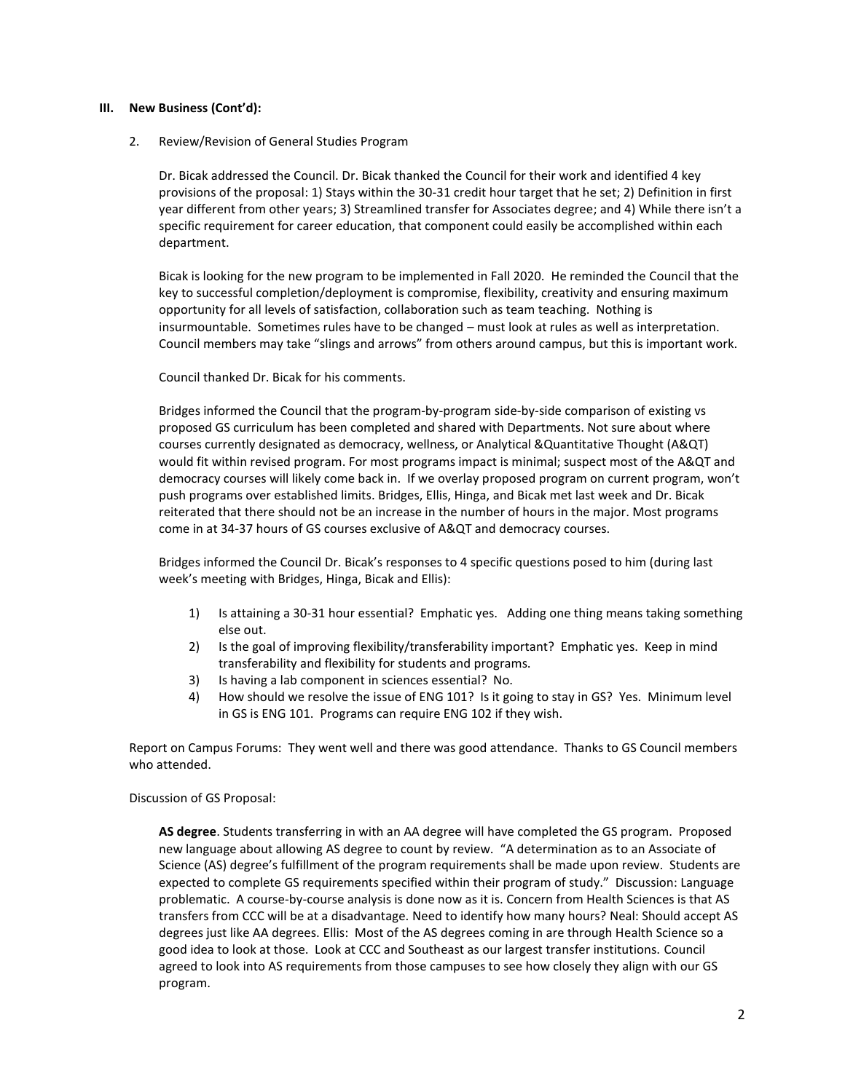#### **III. New Business (Cont'd):**

## 2. Review/Revision of General Studies Program

Dr. Bicak addressed the Council. Dr. Bicak thanked the Council for their work and identified 4 key provisions of the proposal: 1) Stays within the 30-31 credit hour target that he set; 2) Definition in first year different from other years; 3) Streamlined transfer for Associates degree; and 4) While there isn't a specific requirement for career education, that component could easily be accomplished within each department.

Bicak is looking for the new program to be implemented in Fall 2020. He reminded the Council that the key to successful completion/deployment is compromise, flexibility, creativity and ensuring maximum opportunity for all levels of satisfaction, collaboration such as team teaching. Nothing is insurmountable. Sometimes rules have to be changed – must look at rules as well as interpretation. Council members may take "slings and arrows" from others around campus, but this is important work.

## Council thanked Dr. Bicak for his comments.

Bridges informed the Council that the program-by-program side-by-side comparison of existing vs proposed GS curriculum has been completed and shared with Departments. Not sure about where courses currently designated as democracy, wellness, or Analytical &Quantitative Thought (A&QT) would fit within revised program. For most programs impact is minimal; suspect most of the A&QT and democracy courses will likely come back in. If we overlay proposed program on current program, won't push programs over established limits. Bridges, Ellis, Hinga, and Bicak met last week and Dr. Bicak reiterated that there should not be an increase in the number of hours in the major. Most programs come in at 34-37 hours of GS courses exclusive of A&QT and democracy courses.

Bridges informed the Council Dr. Bicak's responses to 4 specific questions posed to him (during last week's meeting with Bridges, Hinga, Bicak and Ellis):

- 1) Is attaining a 30-31 hour essential? Emphatic yes. Adding one thing means taking something else out.
- 2) Is the goal of improving flexibility/transferability important? Emphatic yes. Keep in mind transferability and flexibility for students and programs.
- 3) Is having a lab component in sciences essential? No.
- 4) How should we resolve the issue of ENG 101? Is it going to stay in GS? Yes. Minimum level in GS is ENG 101. Programs can require ENG 102 if they wish.

Report on Campus Forums: They went well and there was good attendance. Thanks to GS Council members who attended.

## Discussion of GS Proposal:

**AS degree**. Students transferring in with an AA degree will have completed the GS program. Proposed new language about allowing AS degree to count by review. "A determination as to an Associate of Science (AS) degree's fulfillment of the program requirements shall be made upon review. Students are expected to complete GS requirements specified within their program of study." Discussion: Language problematic. A course-by-course analysis is done now as it is. Concern from Health Sciences is that AS transfers from CCC will be at a disadvantage. Need to identify how many hours? Neal: Should accept AS degrees just like AA degrees. Ellis: Most of the AS degrees coming in are through Health Science so a good idea to look at those. Look at CCC and Southeast as our largest transfer institutions. Council agreed to look into AS requirements from those campuses to see how closely they align with our GS program.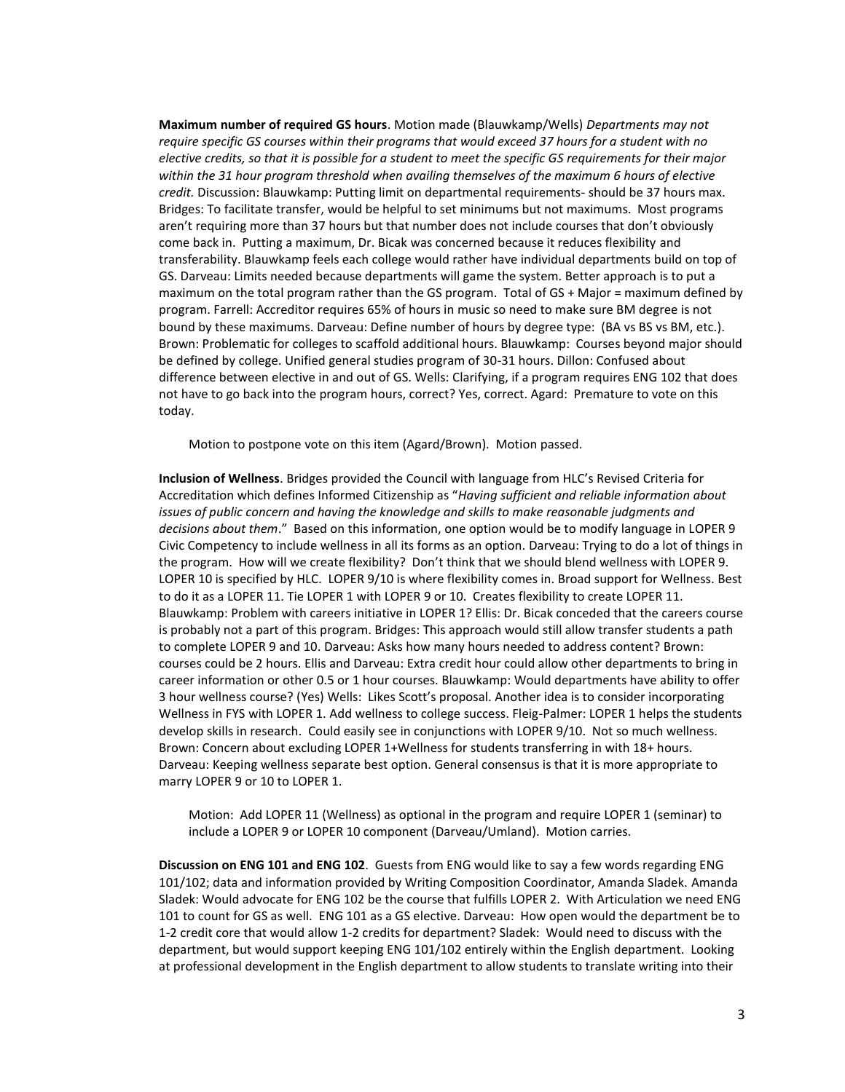**Maximum number of required GS hours**. Motion made (Blauwkamp/Wells) *Departments may not require specific GS courses within their programs that would exceed 37 hours for a student with no elective credits, so that it is possible for a student to meet the specific GS requirements for their major within the 31 hour program threshold when availing themselves of the maximum 6 hours of elective credit.* Discussion: Blauwkamp: Putting limit on departmental requirements- should be 37 hours max. Bridges: To facilitate transfer, would be helpful to set minimums but not maximums. Most programs aren't requiring more than 37 hours but that number does not include courses that don't obviously come back in. Putting a maximum, Dr. Bicak was concerned because it reduces flexibility and transferability. Blauwkamp feels each college would rather have individual departments build on top of GS. Darveau: Limits needed because departments will game the system. Better approach is to put a maximum on the total program rather than the GS program. Total of GS + Major = maximum defined by program. Farrell: Accreditor requires 65% of hours in music so need to make sure BM degree is not bound by these maximums. Darveau: Define number of hours by degree type: (BA vs BS vs BM, etc.). Brown: Problematic for colleges to scaffold additional hours. Blauwkamp: Courses beyond major should be defined by college. Unified general studies program of 30-31 hours. Dillon: Confused about difference between elective in and out of GS. Wells: Clarifying, if a program requires ENG 102 that does not have to go back into the program hours, correct? Yes, correct. Agard: Premature to vote on this today.

Motion to postpone vote on this item (Agard/Brown). Motion passed.

**Inclusion of Wellness**. Bridges provided the Council with language from HLC's Revised Criteria for Accreditation which defines Informed Citizenship as "*Having sufficient and reliable information about issues of public concern and having the knowledge and skills to make reasonable judgments and decisions about them*." Based on this information, one option would be to modify language in LOPER 9 Civic Competency to include wellness in all its forms as an option. Darveau: Trying to do a lot of things in the program. How will we create flexibility? Don't think that we should blend wellness with LOPER 9. LOPER 10 is specified by HLC. LOPER 9/10 is where flexibility comes in. Broad support for Wellness. Best to do it as a LOPER 11. Tie LOPER 1 with LOPER 9 or 10. Creates flexibility to create LOPER 11. Blauwkamp: Problem with careers initiative in LOPER 1? Ellis: Dr. Bicak conceded that the careers course is probably not a part of this program. Bridges: This approach would still allow transfer students a path to complete LOPER 9 and 10. Darveau: Asks how many hours needed to address content? Brown: courses could be 2 hours. Ellis and Darveau: Extra credit hour could allow other departments to bring in career information or other 0.5 or 1 hour courses. Blauwkamp: Would departments have ability to offer 3 hour wellness course? (Yes) Wells: Likes Scott's proposal. Another idea is to consider incorporating Wellness in FYS with LOPER 1. Add wellness to college success. Fleig-Palmer: LOPER 1 helps the students develop skills in research. Could easily see in conjunctions with LOPER 9/10. Not so much wellness. Brown: Concern about excluding LOPER 1+Wellness for students transferring in with 18+ hours. Darveau: Keeping wellness separate best option. General consensus is that it is more appropriate to marry LOPER 9 or 10 to LOPER 1.

Motion: Add LOPER 11 (Wellness) as optional in the program and require LOPER 1 (seminar) to include a LOPER 9 or LOPER 10 component (Darveau/Umland). Motion carries.

**Discussion on ENG 101 and ENG 102**. Guests from ENG would like to say a few words regarding ENG 101/102; data and information provided by Writing Composition Coordinator, Amanda Sladek. Amanda Sladek: Would advocate for ENG 102 be the course that fulfills LOPER 2. With Articulation we need ENG 101 to count for GS as well. ENG 101 as a GS elective. Darveau: How open would the department be to 1-2 credit core that would allow 1-2 credits for department? Sladek: Would need to discuss with the department, but would support keeping ENG 101/102 entirely within the English department. Looking at professional development in the English department to allow students to translate writing into their